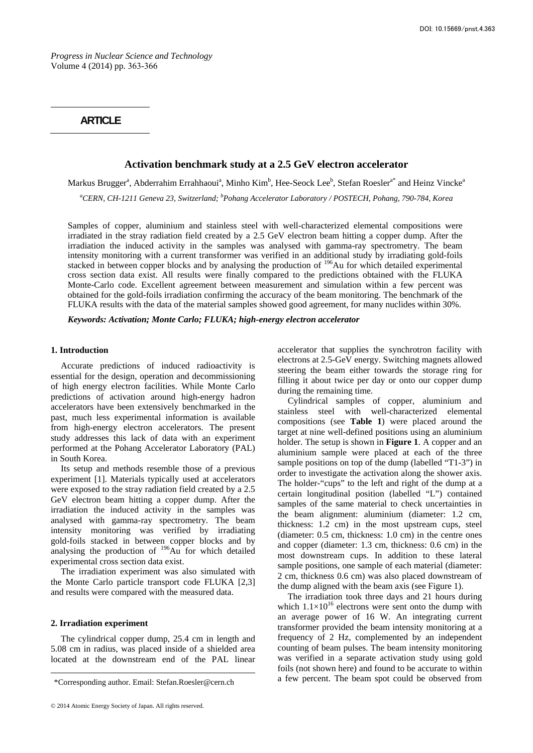*Progress in Nuclear Science and Technology*  Volume 4 (2014) pp. 363-366

# **ARTICLE**

# **Activation benchmark study at a 2.5 GeV electron accelerator**

Markus Brugger<sup>a</sup>, Abderrahim Errahhaoui<sup>a</sup>, Minho Kim<sup>b</sup>, Hee-Seock Lee<sup>b</sup>, Stefan Roesler<sup>a\*</sup> and Heinz Vincke<sup>®</sup>

*a CERN, CH-1211 Geneva 23, Switzerland; b Pohang Accelerator Laboratory / POSTECH, Pohang, 790-784, Korea* 

Samples of copper, aluminium and stainless steel with well-characterized elemental compositions were irradiated in the stray radiation field created by a 2.5 GeV electron beam hitting a copper dump. After the irradiation the induced activity in the samples was analysed with gamma-ray spectrometry. The beam intensity monitoring with a current transformer was verified in an additional study by irradiating gold-foils stacked in between copper blocks and by analysing the production of <sup>196</sup>Au for which detailed experimental cross section data exist. All results were finally compared to the predictions obtained with the FLUKA Monte-Carlo code. Excellent agreement between measurement and simulation within a few percent was obtained for the gold-foils irradiation confirming the accuracy of the beam monitoring. The benchmark of the FLUKA results with the data of the material samples showed good agreement, for many nuclides within 30%.

*Keywords: Activation; Monte Carlo; FLUKA; high-energy electron accelerator* 

#### **1. Introduction**

Accurate predictions of induced radioactivity is essential for the design, operation and decommissioning of high energy electron facilities. While Monte Carlo predictions of activation around high-energy hadron accelerators have been extensively benchmarked in the past, much less experimental information is available from high-energy electron accelerators. The present study addresses this lack of data with an experiment performed at the Pohang Accelerator Laboratory (PAL) in South Korea.

Its setup and methods resemble those of a previous experiment [1]. Materials typically used at accelerators were exposed to the stray radiation field created by a 2.5 GeV electron beam hitting a copper dump. After the irradiation the induced activity in the samples was analysed with gamma-ray spectrometry. The beam intensity monitoring was verified by irradiating gold-foils stacked in between copper blocks and by analysing the production of  $196$ Au for which detailed experimental cross section data exist.

The irradiation experiment was also simulated with the Monte Carlo particle transport code FLUKA [2,3] and results were compared with the measured data.

## **2. Irradiation experiment**

The cylindrical copper dump, 25.4 cm in length and 5.08 cm in radius, was placed inside of a shielded area located at the downstream end of the PAL linear

accelerator that supplies the synchrotron facility with electrons at 2.5-GeV energy. Switching magnets allowed steering the beam either towards the storage ring for filling it about twice per day or onto our copper dump during the remaining time.

Cylindrical samples of copper, aluminium and stainless steel with well-characterized elemental compositions (see **Table 1**) were placed around the target at nine well-defined positions using an aluminium holder. The setup is shown in **Figure 1**. A copper and an aluminium sample were placed at each of the three sample positions on top of the dump (labelled "T1-3") in order to investigate the activation along the shower axis. The holder-"cups" to the left and right of the dump at a certain longitudinal position (labelled "L") contained samples of the same material to check uncertainties in the beam alignment: aluminium (diameter: 1.2 cm, thickness: 1.2 cm) in the most upstream cups, steel (diameter: 0.5 cm, thickness: 1.0 cm) in the centre ones and copper (diameter: 1.3 cm, thickness: 0.6 cm) in the most downstream cups. In addition to these lateral sample positions, one sample of each material (diameter: 2 cm, thickness 0.6 cm) was also placed downstream of the dump aligned with the beam axis (see Figure 1).

The irradiation took three days and 21 hours during which  $1.1 \times 10^{16}$  electrons were sent onto the dump with an average power of 16 W. An integrating current transformer provided the beam intensity monitoring at a frequency of 2 Hz, complemented by an independent counting of beam pulses. The beam intensity monitoring was verified in a separate activation study using gold foils (not shown here) and found to be accurate to within a few percent. The beam spot could be observed from

<sup>\*</sup>Corresponding author. Email: Stefan.Roesler@cern.ch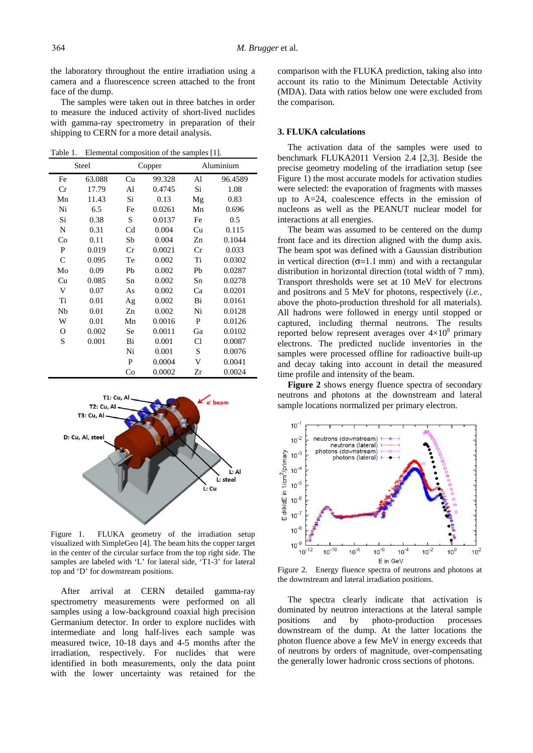the laboratory throughout the entire irradiation using a camera and a fluorescence screen attached to the front face of the dump.

The samples were taken out in three batches in order to measure the induced activity of short-lived nuclides with gamma-ray spectrometry in preparation of their shipping to CERN for a more detail analysis.

Table 1. Elemental composition of the samples [1].

| Steel        |        | Copper         |        | Aluminium |         |  |
|--------------|--------|----------------|--------|-----------|---------|--|
| Fe           | 63.088 | Cu             | 99.328 | Al        | 96.4589 |  |
| Cr           | 17.79  | Al             | 0.4745 | Si        | 1.08    |  |
| Mn           | 11.43  | Si             | 0.13   | Mg        | 0.83    |  |
| Ni           | 6.5    | Fe             | 0.0261 | Mn        | 0.696   |  |
| Si           | 0.38   | S              | 0.0137 | Fe        | 0.5     |  |
| N            | 0.31   | C <sub>d</sub> | 0.004  | Cu        | 0.115   |  |
| Co           | 0.11   | Sb             | 0.004  | Zn        | 0.1044  |  |
| P            | 0.019  | Cr             | 0.0021 | Cr        | 0.033   |  |
| $\mathsf{C}$ | 0.095  | Te             | 0.002  | Ti        | 0.0302  |  |
| Mo           | 0.09   | Pb             | 0.002  | Pb        | 0.0287  |  |
| Cu           | 0.085  | Sn             | 0.002  | Sn        | 0.0278  |  |
| V            | 0.07   | As             | 0.002  | Ca        | 0.0201  |  |
| Ti           | 0.01   | Ag             | 0.002  | Bi        | 0.0161  |  |
| Nb           | 0.01   | Zn             | 0.002  | Ni        | 0.0128  |  |
| W            | 0.01   | Mn             | 0.0016 | P         | 0.0126  |  |
| О            | 0.002  | Se             | 0.0011 | Ga        | 0.0102  |  |
| S            | 0.001  | Bi             | 0.001  | Cl        | 0.0087  |  |
|              |        | Ni             | 0.001  | S         | 0.0076  |  |
|              |        | P              | 0.0004 | V         | 0.0041  |  |
|              |        | Co             | 0.0002 | Zr        | 0.0024  |  |



Figure 1. FLUKA geometry of the irradiation setup visualized with SimpleGeo [4]. The beam hits the copper target in the center of the circular surface from the top right side. The samples are labeled with 'L' for lateral side, 'T1-3' for lateral top and 'D' for downstream positions.

After arrival at CERN detailed gamma-ray spectrometry measurements were performed on all samples using a low-background coaxial high precision Germanium detector. In order to explore nuclides with intermediate and long half-lives each sample was measured twice, 10-18 days and 4-5 months after the irradiation, respectively. For nuclides that were identified in both measurements, only the data point with the lower uncertainty was retained for the

comparison with the FLUKA prediction, taking also into account its ratio to the Minimum Detectable Activity (MDA). Data with ratios below one were excluded from the comparison.

## **3. FLUKA calculations**

The activation data of the samples were used to benchmark FLUKA2011 Version 2.4 [2,3]. Beside the precise geometry modeling of the irradiation setup (see Figure 1) the most accurate models for activation studies were selected: the evaporation of fragments with masses up to A=24, coalescence effects in the emission of nucleons as well as the PEANUT nuclear model for interactions at all energies.

The beam was assumed to be centered on the dump front face and its direction aligned with the dump axis. The beam spot was defined with a Gaussian distribution in vertical direction  $(\sigma=1.1 \text{ mm})$  and with a rectangular distribution in horizontal direction (total width of 7 mm). Transport thresholds were set at 10 MeV for electrons and positrons and 5 MeV for photons, respectively (*i.e.,* above the photo-production threshold for all materials). All hadrons were followed in energy until stopped or captured, including thermal neutrons. The results reported below represent averages over  $4\times10^8$  primary electrons. The predicted nuclide inventories in the samples were processed offline for radioactive built-up and decay taking into account in detail the measured time profile and intensity of the beam.

**Figure 2** shows energy fluence spectra of secondary neutrons and photons at the downstream and lateral sample locations normalized per primary electron.



Figure 2. Energy fluence spectra of neutrons and photons at the downstream and lateral irradiation positions.

The spectra clearly indicate that activation is dominated by neutron interactions at the lateral sample positions and by photo-production processes downstream of the dump. At the latter locations the photon fluence above a few MeV in energy exceeds that of neutrons by orders of magnitude, over-compensating the generally lower hadronic cross sections of photons.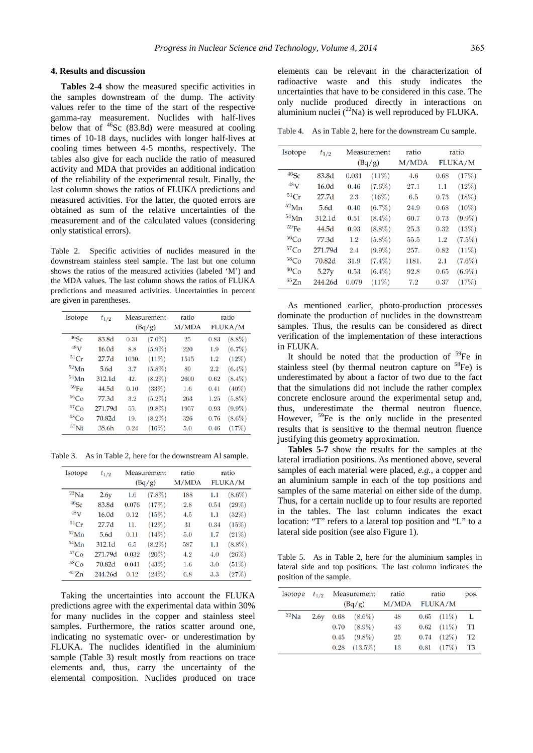### **4. Results and discussion**

**Tables 2-4** show the measured specific activities in the samples downstream of the dump. The activity values refer to the time of the start of the respective gamma-ray measurement. Nuclides with half-lives below that of  $^{46}$ Sc (83.8d) were measured at cooling times of 10-18 days, nuclides with longer half-lives at cooling times between 4-5 months, respectively. The tables also give for each nuclide the ratio of measured activity and MDA that provides an additional indication of the reliability of the experimental result. Finally, the last column shows the ratios of FLUKA predictions and measured activities. For the latter, the quoted errors are obtained as sum of the relative uncertainties of the measurement and of the calculated values (considering only statistical errors).

Table 2. Specific activities of nuclides measured in the downstream stainless steel sample. The last but one column shows the ratios of the measured activities (labeled 'M') and the MDA values. The last column shows the ratios of FLUKA predictions and measured activities. Uncertainties in percent are given in parentheses.

| Isotope          | $t_{1/2}$ | Measurement<br>(Bq/g) |           | ratio<br>M/MDA |      | ratio<br><b>FLUKA/M</b> |
|------------------|-----------|-----------------------|-----------|----------------|------|-------------------------|
| $46$ Sc          | 83.8d     | $(7.0\%)$<br>0.31     |           | 25             | 0.83 | $(8.8\%)$               |
| 48 <sub>V</sub>  | 16.0d     | 8.8                   | $(5.9\%)$ | 220            | 1.9  | $(6.7\%)$               |
| 51Cr             | 27.7d     | 1030.                 | (11%)     | 1515           | 1.2  | (12%)                   |
| $52$ Mn          | 5.6d      | 3.7                   | $(5.8\%)$ | 89             | 2.2  | $(6.4\%)$               |
| $54$ Mn          | 312.1d    | 42.                   | $(8.2\%)$ | 2600           | 0.62 | $(8.4\%)$               |
| 59Fe             | 44.5d     | 0.10                  | (33%)     | $1.6\,$        | 0.41 | $(40\%)$                |
| 56 <sub>Co</sub> | 77.3d     | 3.2                   | $(5.2\%)$ | 263            | 1.25 | $(5.8\%)$               |
| ${}^{57}Co$      | 271.79d   | 55.                   | $(9.8\%)$ | 1957           | 0.93 | $(9.9\%)$               |
| ${}^{58}Co$      | 70.82d    | 19.                   | $(8.2\%)$ | 326            | 0.76 | $(8.6\%)$               |
| $57$ Ni          | 35.6h     | 0.24                  | (16%)     | 5.0            | 0.46 | (17%)                   |

Table 3. As in Table 2, here for the downstream Al sample.

| Isotope     | $t_{1/2}$         | Measurement |           | ratio |      | ratio     |
|-------------|-------------------|-------------|-----------|-------|------|-----------|
|             |                   | (Bq/g)      |           | M/MDA |      | FLUKA/M   |
| $^{22}$ Na  | 2.6y              | 1.6         | $(7.8\%)$ | 188   | 1.1  | $(8.6\%)$ |
| $46$ Sc     | 83.8d             | 0.076       | (17%)     | 2.8   | 0.54 | (29%)     |
| $48$ V      | 16.0d             | 0.12        | (15%)     | 4.5   | 1.1  | (32%)     |
| 51Cr        | 27.7 <sub>d</sub> | 11.         | (12%)     | 31    | 0.34 | (15%)     |
| $52$ Mn     | 5.6d              | 0.11        | (14%)     | 5.0   | 1.7  | (21%)     |
| $54$ Mn     | 312.1d            | 6.5         | $(8.2\%)$ | 587   | 1.1  | $(8.8\%)$ |
| ${}^{57}Co$ | 271.79d           | 0.032       | $(20\%)$  | 4.2   | 4.0  | (26%)     |
| ${}^{58}Co$ | 70.82d            | 0.041       | (43%)     | 1.6   | 3.0  | (51%)     |
| ${}^{65}Zn$ | 244.26d           | 0.12        | (24%)     | 6.8   | 3.3  | (27%)     |

Taking the uncertainties into account the FLUKA predictions agree with the experimental data within 30% for many nuclides in the copper and stainless steel samples. Furthermore, the ratios scatter around one, indicating no systematic over- or underestimation by FLUKA. The nuclides identified in the aluminium sample (Table 3) result mostly from reactions on trace elements and, thus, carry the uncertainty of the elemental composition. Nuclides produced on trace

elements can be relevant in the characterization of radioactive waste and this study indicates the uncertainties that have to be considered in this case. The only nuclide produced directly in interactions on aluminium nuclei  $(^{22}Na)$  is well reproduced by FLUKA.

Table 4. As in Table 2, here for the downstream Cu sample.

| Isotope          | $t_{1/2}$         | Measurement |           | ratio | ratio   |           |
|------------------|-------------------|-------------|-----------|-------|---------|-----------|
|                  |                   | (Bq/g)      |           | M/MDA | FLUKA/M |           |
| $46$ Sc          | 83.8d             | 0.031       | (11%)     | 4.6   | 0.68    | (17%)     |
| $48$ V           | 16.0 <sub>d</sub> | 0.46        | $(7.6\%)$ | 27.1  | 1.1     | (12%)     |
| 51Cr             | 27.7d             | 2.3         | (16%)     | 6.5   | 0.73    | (18%)     |
| $52$ Mn          | 5.6d              | 0.40        | $(6.7\%)$ | 24.9  | 0.68    | $(10\%)$  |
| $54$ Mn          | 312.1d            | 0.51        | $(8.4\%)$ | 60.7  | 0.73    | $(9.9\%)$ |
| $^{59}$ Fe       | 44.5d             | 0.93        | $(8.8\%)$ | 25.3  | 0.32    | (13%)     |
| 56 <sub>Co</sub> | 77.3d             | 1.2         | $(5.8\%)$ | 55.5  | 1.2     | $(7.5\%)$ |
| ${}^{57}Co$      | 271.79d           | 2.4         | $(9.9\%)$ | 257.  | 0.82    | $(11\%)$  |
| ${}^{58}Co$      | 70.82d            | 31.9        | $(7.4\%)$ | 1181. | $2.1\,$ | $(7.6\%)$ |
| ${}^{60}Co$      | 5.27v             | 0.53        | $(6.4\%)$ | 92.8  | 0.65    | $(6.9\%)$ |
| ${}^{65}Zn$      | 244.26d           | 0.079       | (11%)     | 7.2   | 0.37    | (17%)     |

As mentioned earlier, photo-production processes dominate the production of nuclides in the downstream samples. Thus, the results can be considered as direct verification of the implementation of these interactions in FLUKA.

It should be noted that the production of  $59$ Fe in stainless steel (by thermal neutron capture on  ${}^{58}Fe$ ) is underestimated by about a factor of two due to the fact that the simulations did not include the rather complex concrete enclosure around the experimental setup and, thus, underestimate the thermal neutron fluence. However, <sup>59</sup>Fe is the only nuclide in the presented results that is sensitive to the thermal neutron fluence justifying this geometry approximation.

**Tables 5-7** show the results for the samples at the lateral irradiation positions. As mentioned above, several samples of each material were placed, *e.g.*, a copper and an aluminium sample in each of the top positions and samples of the same material on either side of the dump. Thus, for a certain nuclide up to four results are reported in the tables. The last column indicates the exact location: "T" refers to a lateral top position and "L" to a lateral side position (see also Figure 1).

Table 5. As in Table 2, here for the aluminium samples in lateral side and top positions. The last column indicates the position of the sample.

| Isotope    | $t_{1/2}$ | Measurement<br>(Bq/g) |                  | ratio<br>M/MDA | ratio<br>FLUKA/M |                 | pos.           |
|------------|-----------|-----------------------|------------------|----------------|------------------|-----------------|----------------|
| $^{22}$ Na | 2.6v      |                       | $0.68$ $(8.6\%)$ | 48             |                  | $0.65$ $(11\%)$ | L              |
|            |           | 0.70                  | $(8.9\%)$        | 43             |                  | $0.62$ $(11\%)$ | T1             |
|            |           | 0.45                  | $(9.8\%)$        | 25             | 0.74             | $(12\%)$        | T <sub>2</sub> |
|            |           | 0.28                  | $(13.5\%)$       | 13             |                  | $0.81$ $(17\%)$ | T3             |